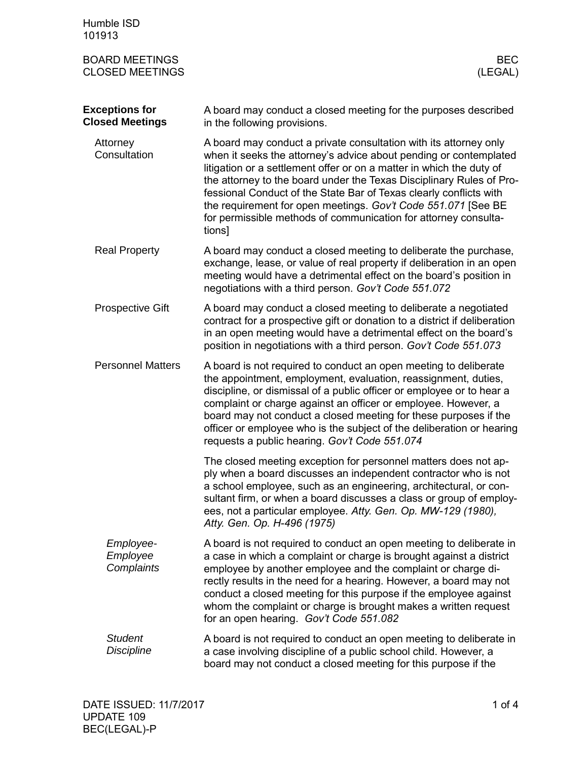| Humble ISD<br>101913                            |                                                                                                                                                                                                                                                                                                                                                                                                                                                                                                            |
|-------------------------------------------------|------------------------------------------------------------------------------------------------------------------------------------------------------------------------------------------------------------------------------------------------------------------------------------------------------------------------------------------------------------------------------------------------------------------------------------------------------------------------------------------------------------|
| <b>BOARD MEETINGS</b><br><b>CLOSED MEETINGS</b> | <b>BEC</b><br>(LEGAL)                                                                                                                                                                                                                                                                                                                                                                                                                                                                                      |
| <b>Exceptions for</b><br><b>Closed Meetings</b> | A board may conduct a closed meeting for the purposes described<br>in the following provisions.                                                                                                                                                                                                                                                                                                                                                                                                            |
| Attorney<br>Consultation                        | A board may conduct a private consultation with its attorney only<br>when it seeks the attorney's advice about pending or contemplated<br>litigation or a settlement offer or on a matter in which the duty of<br>the attorney to the board under the Texas Disciplinary Rules of Pro-<br>fessional Conduct of the State Bar of Texas clearly conflicts with<br>the requirement for open meetings. Gov't Code 551.071 [See BE<br>for permissible methods of communication for attorney consulta-<br>tions] |
| <b>Real Property</b>                            | A board may conduct a closed meeting to deliberate the purchase,<br>exchange, lease, or value of real property if deliberation in an open<br>meeting would have a detrimental effect on the board's position in<br>negotiations with a third person. Gov't Code 551.072                                                                                                                                                                                                                                    |
| <b>Prospective Gift</b>                         | A board may conduct a closed meeting to deliberate a negotiated<br>contract for a prospective gift or donation to a district if deliberation<br>in an open meeting would have a detrimental effect on the board's<br>position in negotiations with a third person. Gov't Code 551.073                                                                                                                                                                                                                      |
| <b>Personnel Matters</b>                        | A board is not required to conduct an open meeting to deliberate<br>the appointment, employment, evaluation, reassignment, duties,<br>discipline, or dismissal of a public officer or employee or to hear a<br>complaint or charge against an officer or employee. However, a<br>board may not conduct a closed meeting for these purposes if the<br>officer or employee who is the subject of the deliberation or hearing<br>requests a public hearing. Gov't Code 551.074                                |
|                                                 | The closed meeting exception for personnel matters does not ap-<br>ply when a board discusses an independent contractor who is not<br>a school employee, such as an engineering, architectural, or con-<br>sultant firm, or when a board discusses a class or group of employ-<br>ees, not a particular employee. Atty. Gen. Op. MW-129 (1980),<br>Atty. Gen. Op. H-496 (1975)                                                                                                                             |
| Employee-<br>Employee<br>Complaints             | A board is not required to conduct an open meeting to deliberate in<br>a case in which a complaint or charge is brought against a district<br>employee by another employee and the complaint or charge di-<br>rectly results in the need for a hearing. However, a board may not<br>conduct a closed meeting for this purpose if the employee against<br>whom the complaint or charge is brought makes a written request<br>for an open hearing. Gov't Code 551.082                                        |
| <b>Student</b><br><b>Discipline</b>             | A board is not required to conduct an open meeting to deliberate in<br>a case involving discipline of a public school child. However, a<br>board may not conduct a closed meeting for this purpose if the                                                                                                                                                                                                                                                                                                  |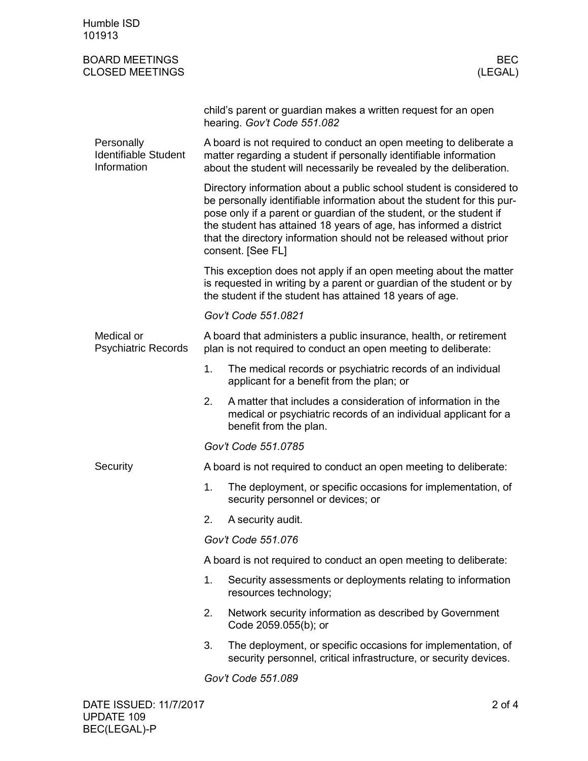| Humble ISD<br>101913                                     |                                                                                                                                                                                                                                                                                                                                                                                        |                                                                                                                                                                                                       |  |  |
|----------------------------------------------------------|----------------------------------------------------------------------------------------------------------------------------------------------------------------------------------------------------------------------------------------------------------------------------------------------------------------------------------------------------------------------------------------|-------------------------------------------------------------------------------------------------------------------------------------------------------------------------------------------------------|--|--|
| <b>BOARD MEETINGS</b><br><b>CLOSED MEETINGS</b>          |                                                                                                                                                                                                                                                                                                                                                                                        | <b>BEC</b><br>(LEGAL)                                                                                                                                                                                 |  |  |
|                                                          |                                                                                                                                                                                                                                                                                                                                                                                        | child's parent or guardian makes a written request for an open<br>hearing. Gov't Code 551.082                                                                                                         |  |  |
| Personally<br><b>Identifiable Student</b><br>Information | A board is not required to conduct an open meeting to deliberate a<br>matter regarding a student if personally identifiable information<br>about the student will necessarily be revealed by the deliberation.                                                                                                                                                                         |                                                                                                                                                                                                       |  |  |
|                                                          | Directory information about a public school student is considered to<br>be personally identifiable information about the student for this pur-<br>pose only if a parent or guardian of the student, or the student if<br>the student has attained 18 years of age, has informed a district<br>that the directory information should not be released without prior<br>consent. [See FL] |                                                                                                                                                                                                       |  |  |
|                                                          |                                                                                                                                                                                                                                                                                                                                                                                        | This exception does not apply if an open meeting about the matter<br>is requested in writing by a parent or guardian of the student or by<br>the student if the student has attained 18 years of age. |  |  |
|                                                          |                                                                                                                                                                                                                                                                                                                                                                                        | Gov't Code 551.0821                                                                                                                                                                                   |  |  |
| Medical or<br><b>Psychiatric Records</b>                 | A board that administers a public insurance, health, or retirement<br>plan is not required to conduct an open meeting to deliberate:                                                                                                                                                                                                                                                   |                                                                                                                                                                                                       |  |  |
|                                                          | 1.                                                                                                                                                                                                                                                                                                                                                                                     | The medical records or psychiatric records of an individual<br>applicant for a benefit from the plan; or                                                                                              |  |  |
|                                                          | 2.                                                                                                                                                                                                                                                                                                                                                                                     | A matter that includes a consideration of information in the<br>medical or psychiatric records of an individual applicant for a<br>benefit from the plan.                                             |  |  |
|                                                          | Gov't Code 551.0785                                                                                                                                                                                                                                                                                                                                                                    |                                                                                                                                                                                                       |  |  |
| Security                                                 | A board is not required to conduct an open meeting to deliberate:                                                                                                                                                                                                                                                                                                                      |                                                                                                                                                                                                       |  |  |
|                                                          | 1.                                                                                                                                                                                                                                                                                                                                                                                     | The deployment, or specific occasions for implementation, of<br>security personnel or devices; or                                                                                                     |  |  |
|                                                          | 2.                                                                                                                                                                                                                                                                                                                                                                                     | A security audit.                                                                                                                                                                                     |  |  |
|                                                          | Gov't Code 551.076                                                                                                                                                                                                                                                                                                                                                                     |                                                                                                                                                                                                       |  |  |
|                                                          | A board is not required to conduct an open meeting to deliberate:                                                                                                                                                                                                                                                                                                                      |                                                                                                                                                                                                       |  |  |
|                                                          | 1.                                                                                                                                                                                                                                                                                                                                                                                     | Security assessments or deployments relating to information<br>resources technology;                                                                                                                  |  |  |
|                                                          | 2.                                                                                                                                                                                                                                                                                                                                                                                     | Network security information as described by Government<br>Code 2059.055(b); or                                                                                                                       |  |  |
|                                                          | 3.                                                                                                                                                                                                                                                                                                                                                                                     | The deployment, or specific occasions for implementation, of<br>security personnel, critical infrastructure, or security devices.                                                                     |  |  |
|                                                          |                                                                                                                                                                                                                                                                                                                                                                                        | Gov't Code 551.089                                                                                                                                                                                    |  |  |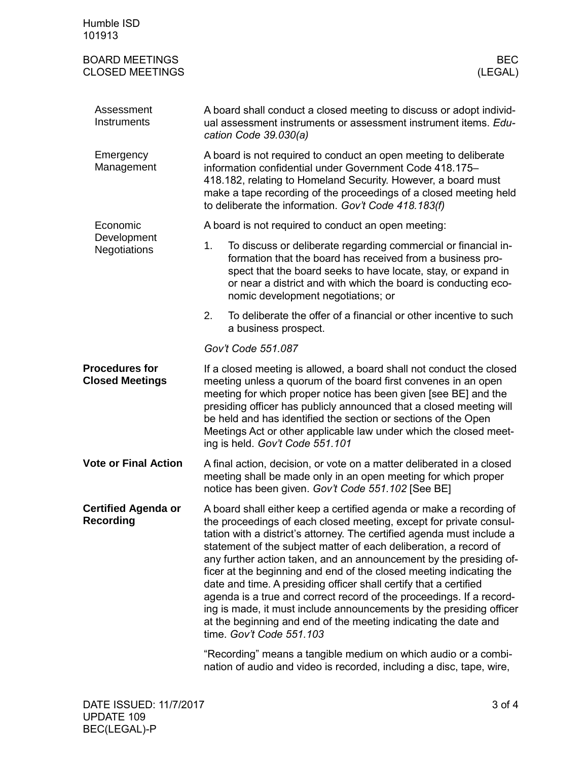| Humble ISD<br>101913                            |                                                                                                                                                                                                                                                                                                                                                                                                                                                                                                                                                                                                                                                                                                                                                          |                                                                                                                                                                                                                                                                                                                           |  |  |  |  |
|-------------------------------------------------|----------------------------------------------------------------------------------------------------------------------------------------------------------------------------------------------------------------------------------------------------------------------------------------------------------------------------------------------------------------------------------------------------------------------------------------------------------------------------------------------------------------------------------------------------------------------------------------------------------------------------------------------------------------------------------------------------------------------------------------------------------|---------------------------------------------------------------------------------------------------------------------------------------------------------------------------------------------------------------------------------------------------------------------------------------------------------------------------|--|--|--|--|
| <b>BOARD MEETINGS</b><br><b>CLOSED MEETINGS</b> |                                                                                                                                                                                                                                                                                                                                                                                                                                                                                                                                                                                                                                                                                                                                                          | <b>BEC</b><br>(LEGAL)                                                                                                                                                                                                                                                                                                     |  |  |  |  |
| Assessment<br>Instruments                       | A board shall conduct a closed meeting to discuss or adopt individ-<br>ual assessment instruments or assessment instrument items. Edu-<br>cation Code 39.030(a)                                                                                                                                                                                                                                                                                                                                                                                                                                                                                                                                                                                          |                                                                                                                                                                                                                                                                                                                           |  |  |  |  |
| Emergency<br>Management                         |                                                                                                                                                                                                                                                                                                                                                                                                                                                                                                                                                                                                                                                                                                                                                          | A board is not required to conduct an open meeting to deliberate<br>information confidential under Government Code 418.175-<br>418.182, relating to Homeland Security. However, a board must<br>make a tape recording of the proceedings of a closed meeting held<br>to deliberate the information. Gov't Code 418.183(f) |  |  |  |  |
| Economic                                        |                                                                                                                                                                                                                                                                                                                                                                                                                                                                                                                                                                                                                                                                                                                                                          | A board is not required to conduct an open meeting:                                                                                                                                                                                                                                                                       |  |  |  |  |
| Development<br><b>Negotiations</b>              | 1.                                                                                                                                                                                                                                                                                                                                                                                                                                                                                                                                                                                                                                                                                                                                                       | To discuss or deliberate regarding commercial or financial in-<br>formation that the board has received from a business pro-<br>spect that the board seeks to have locate, stay, or expand in<br>or near a district and with which the board is conducting eco-<br>nomic development negotiations; or                     |  |  |  |  |
|                                                 | 2.                                                                                                                                                                                                                                                                                                                                                                                                                                                                                                                                                                                                                                                                                                                                                       | To deliberate the offer of a financial or other incentive to such<br>a business prospect.                                                                                                                                                                                                                                 |  |  |  |  |
|                                                 |                                                                                                                                                                                                                                                                                                                                                                                                                                                                                                                                                                                                                                                                                                                                                          | Gov't Code 551.087                                                                                                                                                                                                                                                                                                        |  |  |  |  |
| <b>Procedures for</b><br><b>Closed Meetings</b> | If a closed meeting is allowed, a board shall not conduct the closed<br>meeting unless a quorum of the board first convenes in an open<br>meeting for which proper notice has been given [see BE] and the<br>presiding officer has publicly announced that a closed meeting will<br>be held and has identified the section or sections of the Open<br>Meetings Act or other applicable law under which the closed meet-<br>ing is held. Gov't Code 551.101                                                                                                                                                                                                                                                                                               |                                                                                                                                                                                                                                                                                                                           |  |  |  |  |
| <b>Vote or Final Action</b>                     | A final action, decision, or vote on a matter deliberated in a closed<br>meeting shall be made only in an open meeting for which proper<br>notice has been given. Gov't Code 551.102 [See BE]                                                                                                                                                                                                                                                                                                                                                                                                                                                                                                                                                            |                                                                                                                                                                                                                                                                                                                           |  |  |  |  |
| <b>Certified Agenda or</b><br>Recording         | A board shall either keep a certified agenda or make a recording of<br>the proceedings of each closed meeting, except for private consul-<br>tation with a district's attorney. The certified agenda must include a<br>statement of the subject matter of each deliberation, a record of<br>any further action taken, and an announcement by the presiding of-<br>ficer at the beginning and end of the closed meeting indicating the<br>date and time. A presiding officer shall certify that a certified<br>agenda is a true and correct record of the proceedings. If a record-<br>ing is made, it must include announcements by the presiding officer<br>at the beginning and end of the meeting indicating the date and<br>time. Gov't Code 551.103 |                                                                                                                                                                                                                                                                                                                           |  |  |  |  |
|                                                 |                                                                                                                                                                                                                                                                                                                                                                                                                                                                                                                                                                                                                                                                                                                                                          | "Recording" means a tangible medium on which audio or a combi-<br>nation of audio and video is recorded, including a disc, tape, wire,                                                                                                                                                                                    |  |  |  |  |